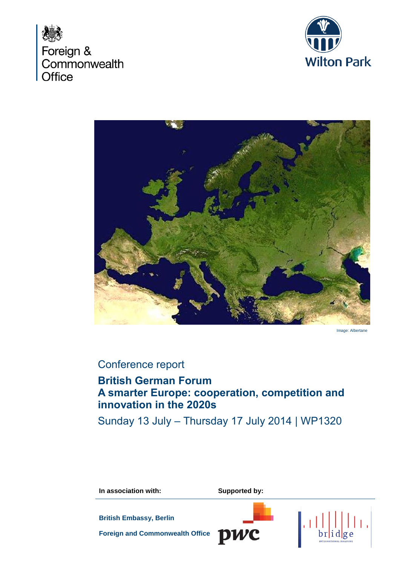





Image: Albertane

# Conference report

# **British German Forum A smarter Europe: cooperation, competition and innovation in the 2020s**

Sunday 13 July – Thursday 17 July 2014 | WP1320

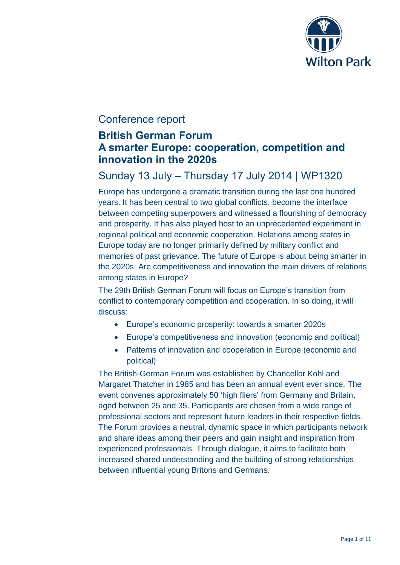

# Conference report

# **British German Forum A smarter Europe: cooperation, competition and innovation in the 2020s**

# Sunday 13 July – Thursday 17 July 2014 | WP1320

Europe has undergone a dramatic transition during the last one hundred years. It has been central to two global conflicts, become the interface between competing superpowers and witnessed a flourishing of democracy and prosperity. It has also played host to an unprecedented experiment in regional political and economic cooperation. Relations among states in Europe today are no longer primarily defined by military conflict and memories of past grievance. The future of Europe is about being smarter in the 2020s. Are competitiveness and innovation the main drivers of relations among states in Europe?

The 29th British German Forum will focus on Europe's transition from conflict to contemporary competition and cooperation. In so doing, it will discuss:

- Europe's economic prosperity: towards a smarter 2020s
- Europe's competitiveness and innovation (economic and political)
- Patterns of innovation and cooperation in Europe (economic and political)

The British-German Forum was established by Chancellor Kohl and Margaret Thatcher in 1985 and has been an annual event ever since. The event convenes approximately 50 'high fliers' from Germany and Britain, aged between 25 and 35. Participants are chosen from a wide range of professional sectors and represent future leaders in their respective fields. The Forum provides a neutral, dynamic space in which participants network and share ideas among their peers and gain insight and inspiration from experienced professionals. Through dialogue, it aims to facilitate both increased shared understanding and the building of strong relationships between influential young Britons and Germans.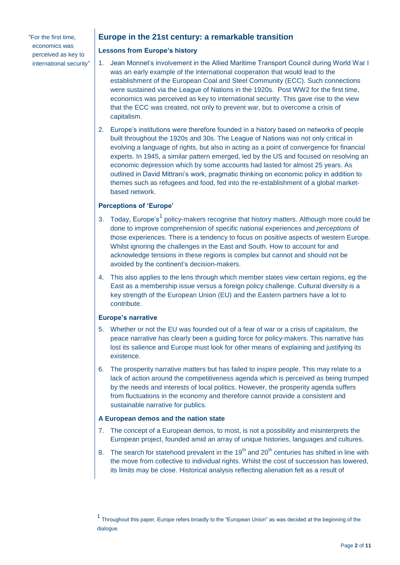"For the first time, economics was perceived as key to international security"

# **Europe in the 21st century: a remarkable transition**

# **Lessons from Europe's history**

- 1. Jean Monnet's involvement in the Allied Maritime Transport Council during World War I was an early example of the international cooperation that would lead to the establishment of the European Coal and Steel Community (ECC). Such connections were sustained via the League of Nations in the 1920s. Post WW2 for the first time, economics was perceived as key to international security. This gave rise to the view that the ECC was created, not only to prevent war, but to overcome a crisis of capitalism.
- 2. Europe's institutions were therefore founded in a history based on networks of people built throughout the 1920s and 30s. The League of Nations was not only critical in evolving a language of rights, but also in acting as a point of convergence for financial experts. In 1945, a similar pattern emerged, led by the US and focused on resolving an economic depression which by some accounts had lasted for almost 25 years. As outlined in David Mittrani's work, pragmatic thinking on economic policy in addition to themes such as refugees and food, fed into the re-establishment of a global marketbased network.

# **Perceptions of 'Europe'**

- 3. Today, Europe's<sup>1</sup> policy-makers recognise that history matters. Although more could be done to improve comprehension of specific national experiences and *perceptions* of those experiences. There is a tendency to focus on positive aspects of western Europe. Whilst ignoring the challenges in the East and South. How to account for and acknowledge tensions in these regions is complex but cannot and should not be avoided by the continent's decision-makers.
- 4. This also applies to the lens through which member states view certain regions, eg the East as a membership issue versus a foreign policy challenge. Cultural diversity is a key strength of the European Union (EU) and the Eastern partners have a lot to contribute.

## **Europe's narrative**

- 5. Whether or not the EU was founded out of a fear of war or a crisis of capitalism, the peace narrative has clearly been a guiding force for policy-makers. This narrative has lost its salience and Europe must look for other means of explaining and justifying its existence.
- 6. The prosperity narrative matters but has failed to inspire people. This may relate to a lack of action around the competitiveness agenda which is perceived as being trumped by the needs and interests of local politics. However, the prosperity agenda suffers from fluctuations in the economy and therefore cannot provide a consistent and sustainable narrative for publics.

## **A European demos and the nation state**

- 7. The concept of a European demos, to most, is not a possibility and misinterprets the European project, founded amid an array of unique histories, languages and cultures.
- 8. The search for statehood prevalent in the  $19<sup>th</sup>$  and  $20<sup>th</sup>$  centuries has shifted in line with the move from collective to individual rights. Whilst the cost of succession has lowered, its limits may be close. Historical analysis reflecting alienation felt as a result of

<sup>1</sup> Throughout this paper, Europe refers broadly to the "European Union" as was decided at the beginning of the dialogue.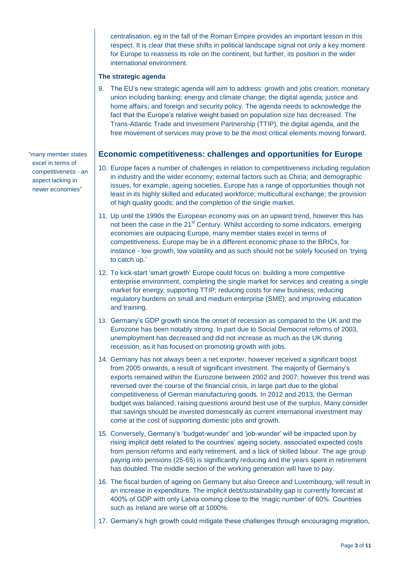centralisation, eg in the fall of the Roman Empire provides an important lesson in this respect. It is clear that these shifts in political landscape signal not only a key moment for Europe to reassess its role on the continent, but further, its position in the wider international environment.

## **The strategic agenda**

9. The EU's new strategic agenda will aim to address: growth and jobs creation; monetary union including banking; energy and climate change; the digital agenda; justice and home affairs; and foreign and security policy. The agenda needs to acknowledge the fact that the Europe's relative weight based on population size has decreased. The Trans-Atlantic Trade and Investment Partnership (TTIP), the digital agenda, and the free movement of services may prove to be the most critical elements moving forward.

# **Economic competitiveness: challenges and opportunities for Europe**

- 10. Europe faces a number of challenges in relation to competitiveness including regulation in industry and the wider economy; external factors such as China; and demographic issues, for example, ageing societies. Europe has a range of opportunities though not least in its highly skilled and educated workforce; multicultural exchange; the provision of high quality goods; and the completion of the single market.
- 11. Up until the 1990s the European economy was on an upward trend, however this has not been the case in the  $21<sup>st</sup>$  Century. Whilst according to some indicators, emerging economies are outpacing Europe, many member states excel in terms of competitiveness. Europe may be in a different economic phase to the BRICs, for instance - low growth, low volatility and as such should not be solely focused on 'trying to catch up.'
- 12. To kick-start 'smart growth' Europe could focus on: building a more competitive enterprise environment, completing the single market for services and creating a single market for energy; supporting TTIP; reducing costs for new business; reducing regulatory burdens on small and medium enterprise (SME); and improving education and training.
- 13. Germany's GDP growth since the onset of recession as compared to the UK and the Eurozone has been notably strong. In part due to Social Democrat reforms of 2003, unemployment has decreased and did not increase as much as the UK during recession, as it has focused on promoting growth *with* jobs.
- 14. Germany has not always been a net exporter, however received a significant boost from 2005 onwards, a result of significant investment. The majority of Germany's exports remained within the Eurozone between 2002 and 2007; however this trend was reversed over the course of the financial crisis, in large part due to the global competitiveness of German manufacturing goods. In 2012 and 2013, the German budget was balanced, raising questions around best use of the surplus. Many consider that savings should be invested domestically as current international investment may come at the cost of supporting domestic jobs and growth.
- 15. Conversely, Germany's 'budget-wunder' and 'job-wunder' will be impacted upon by rising implicit debt related to the countries' ageing society, associated expected costs from pension reforms and early retirement, and a lack of skilled labour. The age group paying into pensions (25-65) is significantly reducing and the years spent in retirement has doubled. The middle section of the working generation will have to pay.
- 16. The fiscal burden of ageing on Germany but also Greece and Luxembourg, will result in an increase in expenditure. The implicit debt/sustainability gap is currently forecast at 400% of GDP with only Latvia coming close to the 'magic number' of 60%. Countries such as Ireland are worse off at 1000%.
- 17. Germany's high growth could mitigate these challenges through encouraging migration,

"many member states excel in terms of competitiveness - an aspect lacking in newer economies"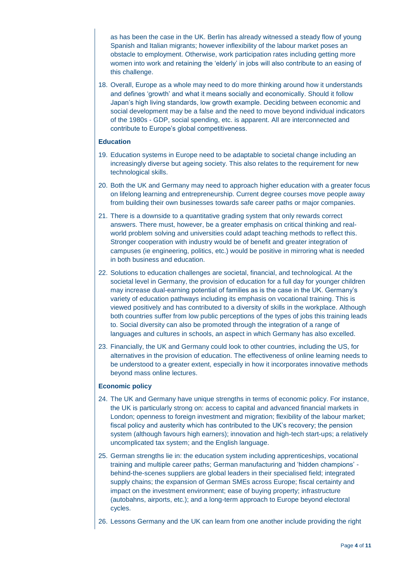as has been the case in the UK. Berlin has already witnessed a steady flow of young Spanish and Italian migrants; however inflexibility of the labour market poses an obstacle to employment. Otherwise, work participation rates including getting more women into work and retaining the 'elderly' in jobs will also contribute to an easing of this challenge.

18. Overall, Europe as a whole may need to do more thinking around how it understands and defines 'growth' and what it means socially and economically. Should it follow Japan's high living standards, low growth example. Deciding between economic and social development may be a false and the need to move beyond individual indicators of the 1980s - GDP, social spending, etc. is apparent. All are interconnected and contribute to Europe's global competitiveness.

# **Education**

- 19. Education systems in Europe need to be adaptable to societal change including an increasingly diverse but ageing society. This also relates to the requirement for new technological skills.
- 20. Both the UK and Germany may need to approach higher education with a greater focus on lifelong learning and entrepreneurship. Current degree courses move people away from building their own businesses towards safe career paths or major companies.
- 21. There is a downside to a quantitative grading system that only rewards correct answers. There must, however, be a greater emphasis on critical thinking and realworld problem solving and universities could adapt teaching methods to reflect this. Stronger cooperation with industry would be of benefit and greater integration of campuses (ie engineering, politics, etc.) would be positive in mirroring what is needed in both business and education.
- 22. Solutions to education challenges are societal, financial, and technological. At the societal level in Germany, the provision of education for a full day for younger children may increase dual-earning potential of families as is the case in the UK. Germany's variety of education pathways including its emphasis on vocational training. This is viewed positively and has contributed to a diversity of skills in the workplace. Although both countries suffer from low public perceptions of the types of jobs this training leads to. Social diversity can also be promoted through the integration of a range of languages and cultures in schools, an aspect in which Germany has also excelled.
- 23. Financially, the UK and Germany could look to other countries, including the US, for alternatives in the provision of education. The effectiveness of online learning needs to be understood to a greater extent, especially in how it incorporates innovative methods beyond mass online lectures.

## **Economic policy**

- 24. The UK and Germany have unique strengths in terms of economic policy. For instance, the UK is particularly strong on: access to capital and advanced financial markets in London; openness to foreign investment and migration; flexibility of the labour market; fiscal policy and austerity which has contributed to the UK's recovery; the pension system (although favours high earners); innovation and high-tech start-ups; a relatively uncomplicated tax system; and the English language.
- 25. German strengths lie in: the education system including apprenticeships, vocational training and multiple career paths; German manufacturing and 'hidden champions' behind-the-scenes suppliers are global leaders in their specialised field; integrated supply chains; the expansion of German SMEs across Europe; fiscal certainty and impact on the investment environment; ease of buying property; infrastructure (autobahns, airports, etc.); and a long-term approach to Europe beyond electoral cycles.
- 26. Lessons Germany and the UK can learn from one another include providing the right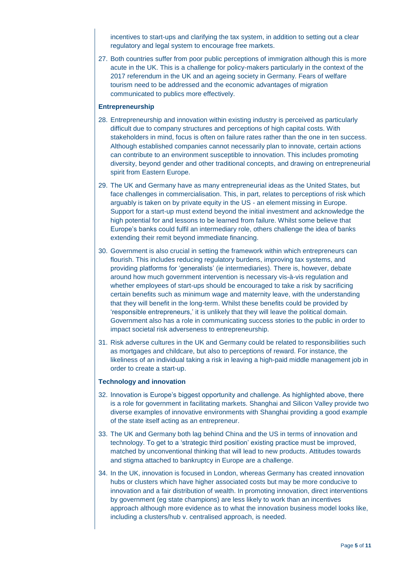incentives to start-ups and clarifying the tax system, in addition to setting out a clear regulatory and legal system to encourage free markets.

27. Both countries suffer from poor public perceptions of immigration although this is more acute in the UK. This is a challenge for policy-makers particularly in the context of the 2017 referendum in the UK and an ageing society in Germany. Fears of welfare tourism need to be addressed and the economic advantages of migration communicated to publics more effectively.

### **Entrepreneurship**

- 28. Entrepreneurship and innovation within existing industry is perceived as particularly difficult due to company structures and perceptions of high capital costs. With stakeholders in mind, focus is often on failure rates rather than the one in ten success. Although established companies cannot necessarily plan to innovate, certain actions can contribute to an environment susceptible to innovation. This includes promoting diversity, beyond gender and other traditional concepts, and drawing on entrepreneurial spirit from Eastern Europe.
- 29. The UK and Germany have as many entrepreneurial ideas as the United States, but face challenges in commercialisation. This, in part, relates to perceptions of risk which arguably is taken on by private equity in the US - an element missing in Europe. Support for a start-up must extend beyond the initial investment and acknowledge the high potential for and lessons to be learned from failure. Whilst some believe that Europe's banks could fulfil an intermediary role, others challenge the idea of banks extending their remit beyond immediate financing.
- 30. Government is also crucial in setting the framework within which entrepreneurs can flourish. This includes reducing regulatory burdens, improving tax systems, and providing platforms for 'generalists' (ie intermediaries). There is, however, debate around how much government intervention is necessary vis-à-vis regulation and whether employees of start-ups should be encouraged to take a risk by sacrificing certain benefits such as minimum wage and maternity leave, with the understanding that they will benefit in the long-term. Whilst these benefits could be provided by 'responsible entrepreneurs,' it is unlikely that they will leave the political domain. Government also has a role in communicating success stories to the public in order to impact societal risk adverseness to entrepreneurship.
- 31. Risk adverse cultures in the UK and Germany could be related to responsibilities such as mortgages and childcare, but also to perceptions of reward. For instance, the likeliness of an individual taking a risk in leaving a high-paid middle management job in order to create a start-up.

#### **Technology and innovation**

- 32. Innovation is Europe's biggest opportunity and challenge. As highlighted above, there is a role for government in facilitating markets. Shanghai and Silicon Valley provide two diverse examples of innovative environments with Shanghai providing a good example of the state itself acting as an entrepreneur.
- 33. The UK and Germany both lag behind China and the US in terms of innovation and technology. To get to a 'strategic third position' existing practice must be improved, matched by unconventional thinking that will lead to new products. Attitudes towards and stigma attached to bankruptcy in Europe are a challenge.
- 34. In the UK, innovation is focused in London, whereas Germany has created innovation hubs or clusters which have higher associated costs but may be more conducive to innovation and a fair distribution of wealth. In promoting innovation, direct interventions by government (eg state champions) are less likely to work than an incentives approach although more evidence as to what the innovation business model looks like, including a clusters/hub v. centralised approach, is needed.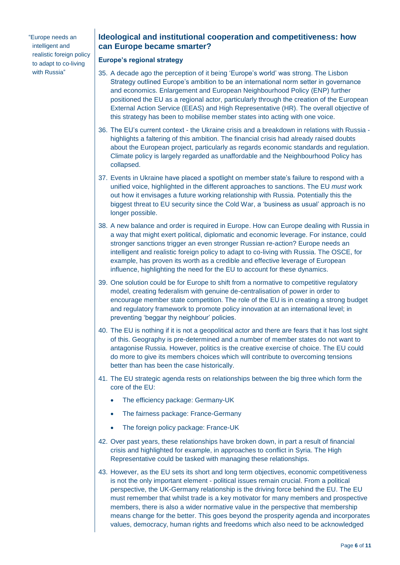"Europe needs an intelligent and realistic foreign policy to adapt to co-living with Russia"

# **Ideological and institutional cooperation and competitiveness: how can Europe became smarter?**

# **Europe's regional strategy**

- 35. A decade ago the perception of it being 'Europe's world' was strong. The Lisbon Strategy outlined Europe's ambition to be an international norm setter in governance and economics. Enlargement and European Neighbourhood Policy (ENP) further positioned the EU as a regional actor, particularly through the creation of the European External Action Service (EEAS) and High Representative (HR). The overall objective of this strategy has been to mobilise member states into acting with one voice.
- 36. The EU's current context the Ukraine crisis and a breakdown in relations with Russia highlights a faltering of this ambition. The financial crisis had already raised doubts about the European project, particularly as regards economic standards and regulation. Climate policy is largely regarded as unaffordable and the Neighbourhood Policy has collapsed.
- 37. Events in Ukraine have placed a spotlight on member state's failure to respond with a unified voice, highlighted in the different approaches to sanctions. The EU *must* work out how it envisages a future working relationship with Russia. Potentially this the biggest threat to EU security since the Cold War, a 'business as usual' approach is no longer possible.
- 38. A new balance and order is required in Europe. How can Europe dealing with Russia in a way that might exert political, diplomatic and economic leverage. For instance, could stronger sanctions trigger an even stronger Russian re-action? Europe needs an intelligent and realistic foreign policy to adapt to co-living with Russia. The OSCE, for example, has proven its worth as a credible and effective leverage of European influence, highlighting the need for the EU to account for these dynamics.
- 39. One solution could be for Europe to shift from a normative to competitive regulatory model, creating federalism with genuine de-centralisation of power in order to encourage member state competition. The role of the EU is in creating a strong budget and regulatory framework to promote policy innovation at an international level; in preventing 'beggar thy neighbour' policies.
- 40. The EU is nothing if it is not a geopolitical actor and there are fears that it has lost sight of this. Geography is pre-determined and a number of member states do not want to antagonise Russia. However, politics is the creative exercise of choice. The EU could do more to give its members choices which will contribute to overcoming tensions better than has been the case historically.
- 41. The EU strategic agenda rests on relationships between the big three which form the core of the EU:
	- The efficiency package: Germany-UK
	- The fairness package: France-Germany
	- The foreign policy package: France-UK
- 42. Over past years, these relationships have broken down, in part a result of financial crisis and highlighted for example, in approaches to conflict in Syria. The High Representative could be tasked with managing these relationships.
- 43. However, as the EU sets its short and long term objectives, economic competitiveness is not the only important element - political issues remain crucial. From a political perspective, the UK-Germany relationship is the driving force behind the EU. The EU must remember that whilst trade is a key motivator for many members and prospective members, there is also a wider normative value in the perspective that membership means change for the better. This goes beyond the prosperity agenda and incorporates values, democracy, human rights and freedoms which also need to be acknowledged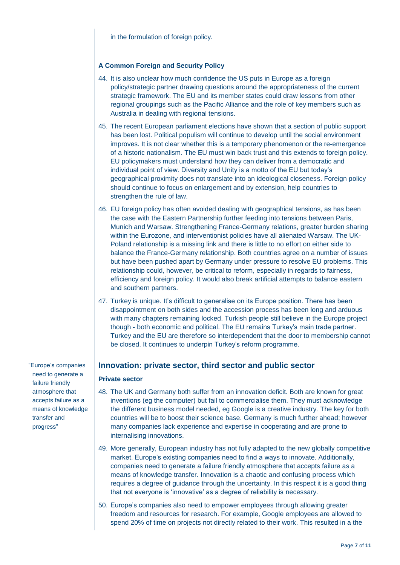# **A Common Foreign and Security Policy**

- 44. It is also unclear how much confidence the US puts in Europe as a foreign policy/strategic partner drawing questions around the appropriateness of the current strategic framework. The EU and its member states could draw lessons from other regional groupings such as the Pacific Alliance and the role of key members such as Australia in dealing with regional tensions.
- 45. The recent European parliament elections have shown that a section of public support has been lost. Political populism will continue to develop until the social environment improves. It is not clear whether this is a temporary phenomenon or the re-emergence of a historic nationalism. The EU must win back trust and this extends to foreign policy. EU policymakers must understand how they can deliver from a democratic and individual point of view. Diversity and Unity is a motto of the EU but today's geographical proximity does not translate into an ideological closeness. Foreign policy should continue to focus on enlargement and by extension, help countries to strengthen the rule of law.
- 46. EU foreign policy has often avoided dealing with geographical tensions, as has been the case with the Eastern Partnership further feeding into tensions between Paris, Munich and Warsaw. Strengthening France-Germany relations, greater burden sharing within the Eurozone, and interventionist policies have all alienated Warsaw. The UK-Poland relationship is a missing link and there is little to no effort on either side to balance the France-Germany relationship. Both countries agree on a number of issues but have been pushed apart by Germany under pressure to resolve EU problems. This relationship could, however, be critical to reform, especially in regards to fairness, efficiency and foreign policy. It would also break artificial attempts to balance eastern and southern partners.
- 47. Turkey is unique. It's difficult to generalise on its Europe position. There has been disappointment on both sides and the accession process has been long and arduous with many chapters remaining locked. Turkish people still believe in the Europe project though - both economic and political. The EU remains Turkey's main trade partner. Turkey and the EU are therefore so interdependent that the door to membership cannot be closed. It continues to underpin Turkey's reform programme.

# **Innovation: private sector, third sector and public sector**

## **Private sector**

- 48. The UK and Germany both suffer from an innovation deficit. Both are known for great inventions (eg the computer) but fail to commercialise them. They must acknowledge the different business model needed, eg Google is a creative industry. The key for both countries will be to boost their science base. Germany is much further ahead; however many companies lack experience and expertise in cooperating and are prone to internalising innovations.
- 49. More generally, European industry has not fully adapted to the new globally competitive market. Europe's existing companies need to find a ways to innovate. Additionally, companies need to generate a failure friendly atmosphere that accepts failure as a means of knowledge transfer. Innovation is a chaotic and confusing process which requires a degree of guidance through the uncertainty. In this respect it is a good thing that not everyone is 'innovative' as a degree of reliability is necessary.
- 50. Europe's companies also need to empower employees through allowing greater freedom and resources for research. For example, Google employees are allowed to spend 20% of time on projects not directly related to their work. This resulted in a the

"Europe's companies need to generate a failure friendly atmosphere that accepts failure as a means of knowledge transfer and progress"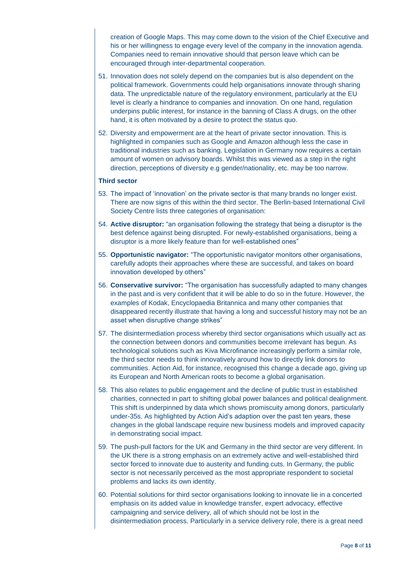creation of Google Maps. This may come down to the vision of the Chief Executive and his or her willingness to engage every level of the company in the innovation agenda. Companies need to remain innovative should that person leave which can be encouraged through inter-departmental cooperation.

- 51. Innovation does not solely depend on the companies but is also dependent on the political framework. Governments could help organisations innovate through sharing data. The unpredictable nature of the regulatory environment, particularly at the EU level is clearly a hindrance to companies and innovation. On one hand, regulation underpins public interest, for instance in the banning of Class A drugs, on the other hand, it is often motivated by a desire to protect the status quo.
- 52. Diversity and empowerment are at the heart of private sector innovation. This is highlighted in companies such as Google and Amazon although less the case in traditional industries such as banking. Legislation in Germany now requires a certain amount of women on advisory boards. Whilst this was viewed as a step in the right direction, perceptions of diversity e.g gender/nationality, etc. may be too narrow.

#### **Third sector**

- 53. The impact of 'innovation' on the private sector is that many brands no longer exist. There are now signs of this within the third sector. The Berlin-based International Civil Society Centre lists three categories of organisation:
- 54. **Active disruptor:** "an organisation following the strategy that being a disruptor is the best defence against being disrupted. For newly-established organisations, being a disruptor is a more likely feature than for well-established ones"
- 55. **Opportunistic navigator:** "The opportunistic navigator monitors other organisations, carefully adopts their approaches where these are successful, and takes on board innovation developed by others"
- 56. **Conservative survivor:** "The organisation has successfully adapted to many changes in the past and is very confident that it will be able to do so in the future. However, the examples of Kodak, Encyclopaedia Britannica and many other companies that disappeared recently illustrate that having a long and successful history may not be an asset when disruptive change strikes"
- 57. The disintermediation process whereby third sector organisations which usually act as the connection between donors and communities become irrelevant has begun. As technological solutions such as Kiva Microfinance increasingly perform a similar role, the third sector needs to think innovatively around how to directly link donors to communities. Action Aid, for instance, recognised this change a decade ago, giving up its European and North American roots to become a global organisation.
- 58. This also relates to public engagement and the decline of public trust in established charities, connected in part to shifting global power balances and political dealignment. This shift is underpinned by data which shows promiscuity among donors, particularly under-35s. As highlighted by Action Aid's adaption over the past ten years, these changes in the global landscape require new business models and improved capacity in demonstrating social impact.
- 59. The push-pull factors for the UK and Germany in the third sector are very different. In the UK there is a strong emphasis on an extremely active and well-established third sector forced to innovate due to austerity and funding cuts. In Germany, the public sector is not necessarily perceived as the most appropriate respondent to societal problems and lacks its own identity.
- 60. Potential solutions for third sector organisations looking to innovate lie in a concerted emphasis on its added value in knowledge transfer, expert advocacy, effective campaigning and service delivery, all of which should not be lost in the disintermediation process. Particularly in a service delivery role, there is a great need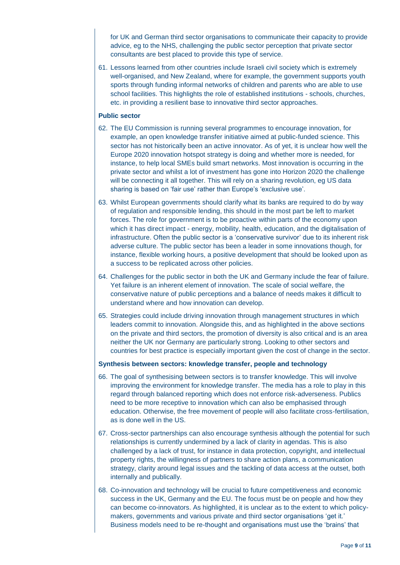for UK and German third sector organisations to communicate their capacity to provide advice, eg to the NHS, challenging the public sector perception that private sector consultants are best placed to provide this type of service.

61. Lessons learned from other countries include Israeli civil society which is extremely well-organised, and New Zealand, where for example, the government supports youth sports through funding informal networks of children and parents who are able to use school facilities. This highlights the role of established institutions - schools, churches, etc. in providing a resilient base to innovative third sector approaches.

#### **Public sector**

- 62. The EU Commission is running several programmes to encourage innovation, for example, an open knowledge transfer initiative aimed at public-funded science. This sector has not historically been an active innovator. As of yet, it is unclear how well the Europe 2020 innovation hotspot strategy is doing and whether more is needed, for instance, to help local SMEs build smart networks. Most innovation is occurring in the private sector and whilst a lot of investment has gone into Horizon 2020 the challenge will be connecting it all together. This will rely on a sharing revolution, eg US data sharing is based on 'fair use' rather than Europe's 'exclusive use'.
- 63. Whilst European governments should clarify what its banks are required to do by way of regulation and responsible lending, this should in the most part be left to market forces. The role for government is to be proactive within parts of the economy upon which it has direct impact - energy, mobility, health, education, and the digitalisation of infrastructure. Often the public sector is a 'conservative survivor' due to its inherent risk adverse culture. The public sector has been a leader in some innovations though, for instance, flexible working hours, a positive development that should be looked upon as a success to be replicated across other policies.
- 64. Challenges for the public sector in both the UK and Germany include the fear of failure. Yet failure is an inherent element of innovation. The scale of social welfare, the conservative nature of public perceptions and a balance of needs makes it difficult to understand where and how innovation can develop.
- 65. Strategies could include driving innovation through management structures in which leaders commit to innovation. Alongside this, and as highlighted in the above sections on the private and third sectors, the promotion of diversity is also critical and is an area neither the UK nor Germany are particularly strong. Looking to other sectors and countries for best practice is especially important given the cost of change in the sector.

#### **Synthesis between sectors: knowledge transfer, people and technology**

- 66. The goal of synthesising between sectors is to transfer knowledge. This will involve improving the environment for knowledge transfer. The media has a role to play in this regard through balanced reporting which does not enforce risk-adverseness. Publics need to be more receptive to innovation which can also be emphasised through education. Otherwise, the free movement of people will also facilitate cross-fertilisation, as is done well in the US.
- 67. Cross-sector partnerships can also encourage synthesis although the potential for such relationships is currently undermined by a lack of clarity in agendas. This is also challenged by a lack of trust, for instance in data protection, copyright, and intellectual property rights, the willingness of partners to share action plans, a communication strategy, clarity around legal issues and the tackling of data access at the outset, both internally and publically.
- 68. Co-innovation and technology will be crucial to future competitiveness and economic success in the UK, Germany and the EU. The focus must be on people and how they can become co-innovators. As highlighted, it is unclear as to the extent to which policymakers, governments and various private and third sector organisations 'get it.' Business models need to be re-thought and organisations must use the 'brains' that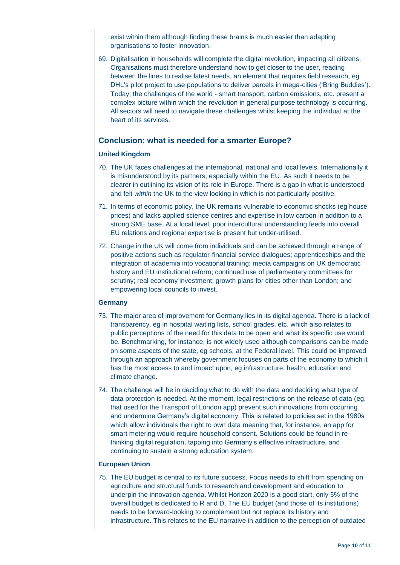exist within them although finding these brains is much easier than adapting organisations to foster innovation.

69. Digitalisation in households will complete the digital revolution, impacting all citizens. Organisations must therefore understand how to get closer to the user, reading between the lines to realise latest needs, an element that requires field research, eg DHL's pilot project to use populations to deliver parcels in mega-cities ('Bring Buddies'). Today, the challenges of the world - smart transport, carbon emissions, etc. present a complex picture within which the revolution in general purpose technology is occurring. All sectors will need to navigate these challenges whilst keeping the individual at the heart of its services.

# **Conclusion: what is needed for a smarter Europe?**

# **United Kingdom**

- 70. The UK faces challenges at the international, national and local levels. Internationally it is misunderstood by its partners, especially within the EU. As such it needs to be clearer in outlining its vision of its role in Europe. There is a gap in what is understood and felt *within* the UK to the view looking in which is not particularly positive.
- 71. In terms of economic policy, the UK remains vulnerable to economic shocks (eg house prices) and lacks applied science centres and expertise in low carbon in addition to a strong SME base. At a local level, poor intercultural understanding feeds into overall EU relations and regional expertise is present but under-utilised.
- 72. Change in the UK will come from individuals and can be achieved through a range of positive actions such as regulator-financial service dialogues; apprenticeships and the integration of academia into vocational training; media campaigns on UK democratic history and EU institutional reform; continued use of parliamentary committees for scrutiny; real economy investment; growth plans for cities other than London; and empowering local councils to invest.

## **Germany**

- 73. The major area of improvement for Germany lies in its digital agenda. There is a lack of transparency, eg in hospital waiting lists, school grades, etc. which also relates to public perceptions of the need for this data to be open and what its specific use would be. Benchmarking, for instance, is not widely used although comparisons can be made on some aspects of the state, eg schools, at the Federal level. This could be improved through an approach whereby government focuses on parts of the economy to which it has the most access to and impact upon, eg infrastructure, health, education and climate change.
- 74. The challenge will be in deciding what to do with the data and deciding what type of data protection is needed. At the moment, legal restrictions on the release of data (eg. that used for the Transport of London app) prevent such innovations from occurring and undermine Germany's digital economy. This is related to policies set in the 1980s which allow individuals the right to own data meaning that, for instance, an app for smart metering would require household consent. Solutions could be found in rethinking digital regulation, tapping into Germany's effective infrastructure, and continuing to sustain a strong education system.

## **European Union**

75. The EU budget is central to its future success. Focus needs to shift from spending on agriculture and structural funds to research and development and education to underpin the innovation agenda. Whilst Horizon 2020 is a good start, only 5% of the overall budget is dedicated to R and D. The EU budget (and those of its institutions) needs to be forward-looking to complement but not replace its history and infrastructure. This relates to the EU narrative in addition to the perception of outdated